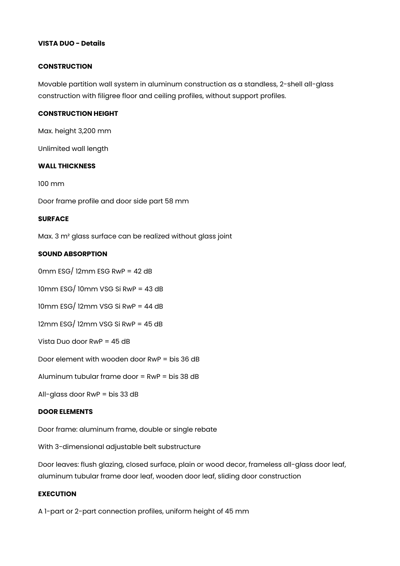# **VISTA DUO - Details**

#### **CONSTRUCTION**

Movable partition wall system in aluminum construction as a standless, 2-shell all-glass construction with filigree floor and ceiling profiles, without support profiles.

## **CONSTRUCTION HEIGHT**

Max. height 3,200 mm

Unlimited wall length

## **WALL THICKNESS**

100 mm

Door frame profile and door side part 58 mm

#### **SURFACE**

Max. 3 m² glass surface can be realized without glass joint

# **SOUND ABSORPTION**

 $0$ mm ESG $/$  12mm ESG RwP = 42 dB

10mm ESG/ 10mm VSG Si RwP = 43 dB

10mm ESG/ 12mm VSG Si RwP = 44 dB

12mm ESG/ 12mm VSG Si RwP = 45 dB

Vista Duo door RwP = 45 dB

Door element with wooden door RwP = bis 36 dB

Aluminum tubular frame door = RwP = bis 38 dB

All-glass door RwP = bis 33 dB

#### **DOOR ELEMENTS**

Door frame: aluminum frame, double or single rebate

With 3-dimensional adjustable belt substructure

Door leaves: flush glazing, closed surface, plain or wood decor, frameless all-glass door leaf, aluminum tubular frame door leaf, wooden door leaf, sliding door construction

# **EXECUTION**

A 1-part or 2-part connection profiles, uniform height of 45 mm